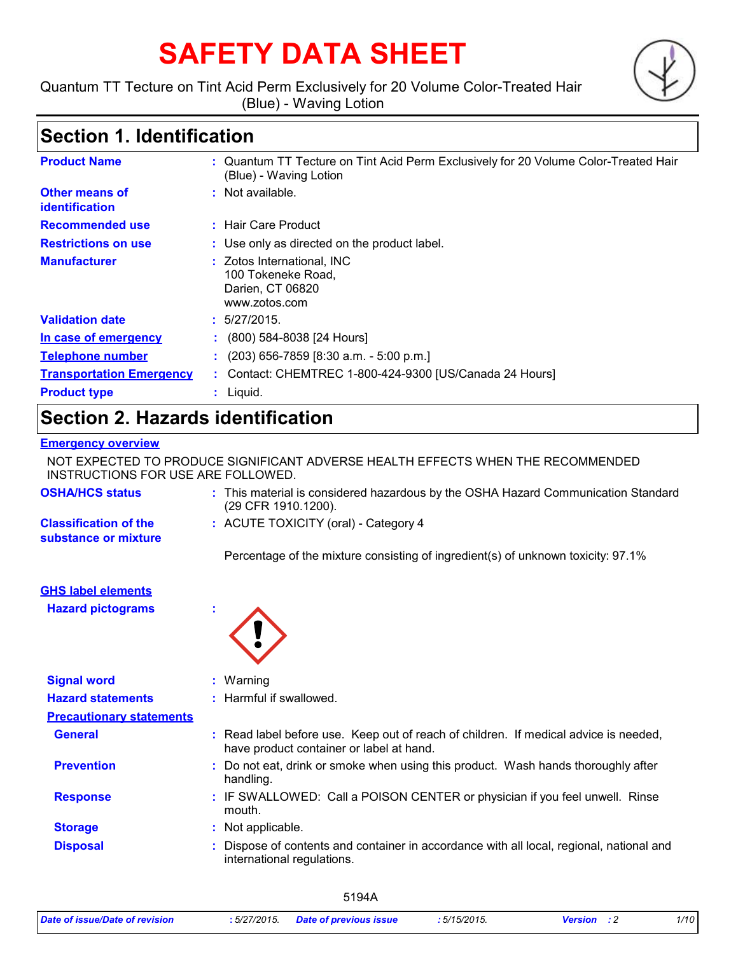# **SAFETY DATA SHEET**

Quantum TT Tecture on Tint Acid Perm Exclusively for 20 Volume Color-Treated Hair (Blue) - Waving Lotion

# **Section 1. Identification**

| <b>Product Name</b>                     | : Quantum TT Tecture on Tint Acid Perm Exclusively for 20 Volume Color-Treated Hair<br>(Blue) - Waving Lotion |
|-----------------------------------------|---------------------------------------------------------------------------------------------------------------|
| Other means of<br><b>identification</b> | $:$ Not available.                                                                                            |
| <b>Recommended use</b>                  | : Hair Care Product                                                                                           |
| <b>Restrictions on use</b>              | : Use only as directed on the product label.                                                                  |
| <b>Manufacturer</b>                     | : Zotos International, INC<br>100 Tokeneke Road,<br>Darien, CT 06820<br>www.zotos.com                         |
| <b>Validation date</b>                  | : 5/27/2015.                                                                                                  |
| In case of emergency                    | $(800)$ 584-8038 [24 Hours]                                                                                   |
| <b>Telephone number</b>                 | $(203)$ 656-7859 [8:30 a.m. - 5:00 p.m.]                                                                      |
| <b>Transportation Emergency</b>         | : Contact: CHEMTREC 1-800-424-9300 [US/Canada 24 Hours]                                                       |
| <b>Product type</b>                     | $:$ Liquid.                                                                                                   |

# **Section 2. Hazards identification**

### **Emergency overview**

NOT EXPECTED TO PRODUCE SIGNIFICANT ADVERSE HEALTH EFFECTS WHEN THE RECOMMENDED INSTRUCTIONS FOR USE ARE FOLLOWED.

| <b>OSHA/HCS status</b>                               | : This material is considered hazardous by the OSHA Hazard Communication Standard<br>(29 CFR 1910.1200). |
|------------------------------------------------------|----------------------------------------------------------------------------------------------------------|
| <b>Classification of the</b><br>substance or mixture | $:$ ACUTE TOXICITY (oral) - Category 4                                                                   |
|                                                      | Percentage of the mixture consisting of ingredient(s) of unknown toxicity: 97.1%                         |
| CUS label elements                                   |                                                                                                          |

### **GHS label elements**

**Hazard pictograms :**



| <b>Signal word</b>              | $:$ Warning                                                                                                                      |  |
|---------------------------------|----------------------------------------------------------------------------------------------------------------------------------|--|
| <b>Hazard statements</b>        | : Harmful if swallowed.                                                                                                          |  |
| <b>Precautionary statements</b> |                                                                                                                                  |  |
| <b>General</b>                  | : Read label before use. Keep out of reach of children. If medical advice is needed,<br>have product container or label at hand. |  |
| <b>Prevention</b>               | : Do not eat, drink or smoke when using this product. Wash hands thoroughly after<br>handling.                                   |  |
| <b>Response</b>                 | : IF SWALLOWED: Call a POISON CENTER or physician if you feel unwell. Rinse<br>mouth.                                            |  |
| <b>Storage</b>                  | : Not applicable.                                                                                                                |  |
| <b>Disposal</b>                 | : Dispose of contents and container in accordance with all local, regional, national and<br>international regulations.           |  |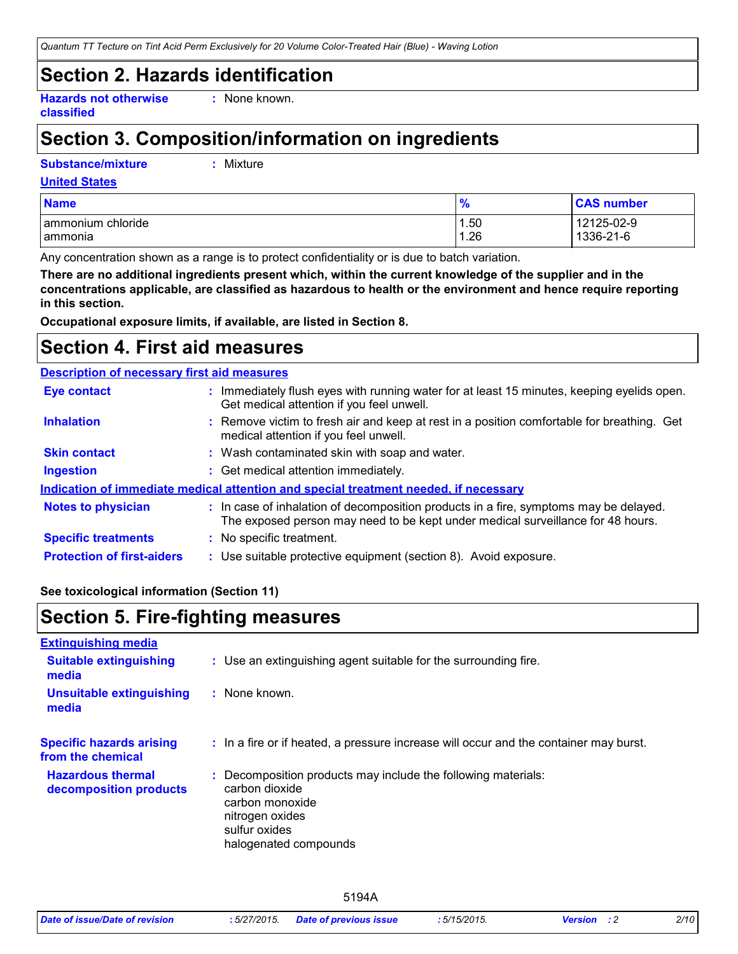*Quantum TT Tecture on Tint Acid Perm Exclusively for 20 Volume Color-Treated Hair (Blue) - Waving Lotion*

# **Section 2. Hazards identification**

**Hazards not otherwise classified**

**:** None known.

# **Section 3. Composition/information on ingredients**

**Substance/mixture :**

Mixture

#### **United States**

| <b>Name</b>       | $\frac{9}{6}$ | <b>CAS number</b> |
|-------------------|---------------|-------------------|
| ammonium chloride | 1.50          | 12125-02-9        |
| I ammonia         | 1.26          | 1336-21-6         |

Any concentration shown as a range is to protect confidentiality or is due to batch variation.

**There are no additional ingredients present which, within the current knowledge of the supplier and in the concentrations applicable, are classified as hazardous to health or the environment and hence require reporting in this section.**

**Occupational exposure limits, if available, are listed in Section 8.**

### **Section 4. First aid measures**

### **Description of necessary first aid measures**

| <b>Eye contact</b>                                                                   |  | : Immediately flush eyes with running water for at least 15 minutes, keeping eyelids open.<br>Get medical attention if you feel unwell.                                  |  |
|--------------------------------------------------------------------------------------|--|--------------------------------------------------------------------------------------------------------------------------------------------------------------------------|--|
| <b>Inhalation</b>                                                                    |  | : Remove victim to fresh air and keep at rest in a position comfortable for breathing. Get<br>medical attention if you feel unwell.                                      |  |
| <b>Skin contact</b>                                                                  |  | : Wash contaminated skin with soap and water.                                                                                                                            |  |
| <b>Ingestion</b>                                                                     |  | : Get medical attention immediately.                                                                                                                                     |  |
| Indication of immediate medical attention and special treatment needed, if necessary |  |                                                                                                                                                                          |  |
| <b>Notes to physician</b>                                                            |  | : In case of inhalation of decomposition products in a fire, symptoms may be delayed.<br>The exposed person may need to be kept under medical surveillance for 48 hours. |  |
| <b>Specific treatments</b>                                                           |  | : No specific treatment.                                                                                                                                                 |  |
| <b>Protection of first-aiders</b>                                                    |  | : Use suitable protective equipment (section 8). Avoid exposure.                                                                                                         |  |

### **See toxicological information (Section 11)**

### **Section 5. Fire-fighting measures**

| <b>Extinguishing media</b>                           |                                                                                                                                                                 |
|------------------------------------------------------|-----------------------------------------------------------------------------------------------------------------------------------------------------------------|
| <b>Suitable extinguishing</b><br>media               | : Use an extinguishing agent suitable for the surrounding fire.                                                                                                 |
| <b>Unsuitable extinguishing</b><br>media             | : None known.                                                                                                                                                   |
| <b>Specific hazards arising</b><br>from the chemical | : In a fire or if heated, a pressure increase will occur and the container may burst.                                                                           |
| <b>Hazardous thermal</b><br>decomposition products   | : Decomposition products may include the following materials:<br>carbon dioxide<br>carbon monoxide<br>nitrogen oxides<br>sulfur oxides<br>halogenated compounds |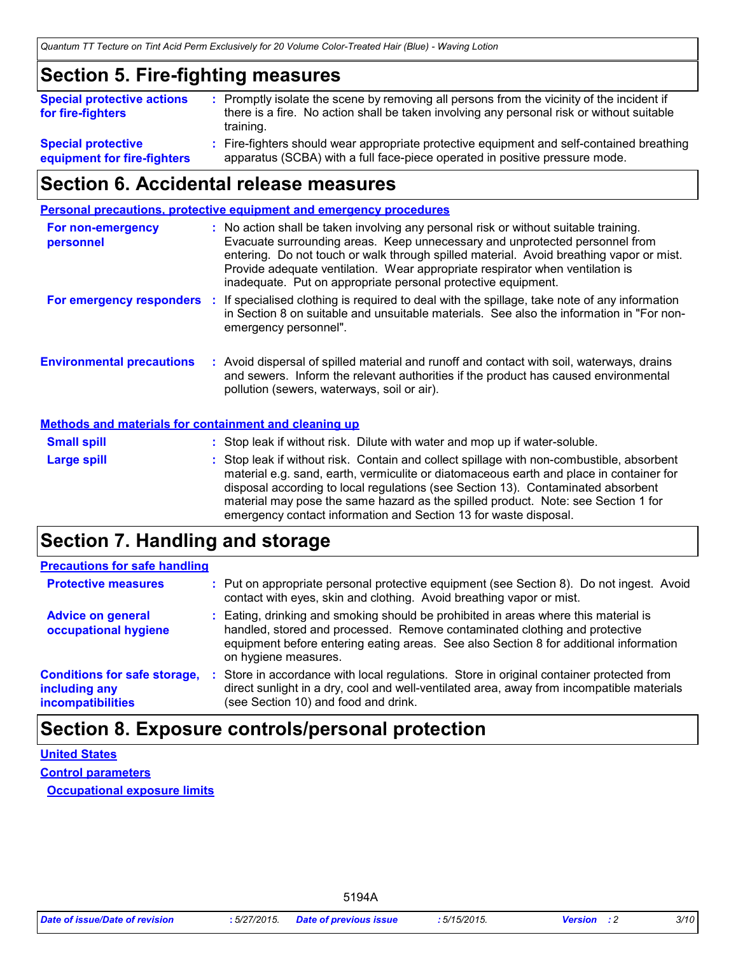### **Section 5. Fire-fighting measures**

| <b>Special protective actions</b><br>for fire-fighters   | : Promptly isolate the scene by removing all persons from the vicinity of the incident if<br>there is a fire. No action shall be taken involving any personal risk or without suitable<br>training. |
|----------------------------------------------------------|-----------------------------------------------------------------------------------------------------------------------------------------------------------------------------------------------------|
| <b>Special protective</b><br>equipment for fire-fighters | : Fire-fighters should wear appropriate protective equipment and self-contained breathing<br>apparatus (SCBA) with a full face-piece operated in positive pressure mode.                            |

### **Section 6. Accidental release measures**

**Environmental precautions Personal precautions, protective equipment and emergency procedures :** Avoid dispersal of spilled material and runoff and contact with soil, waterways, drains **:** No action shall be taken involving any personal risk or without suitable training. Evacuate surrounding areas. Keep unnecessary and unprotected personnel from entering. Do not touch or walk through spilled material. Avoid breathing vapor or mist. Provide adequate ventilation. Wear appropriate respirator when ventilation is inadequate. Put on appropriate personal protective equipment. and sewers. Inform the relevant authorities if the product has caused environmental pollution (sewers, waterways, soil or air). **For non-emergency personnel For emergency responders :** If specialised clothing is required to deal with the spillage, take note of any information in Section 8 on suitable and unsuitable materials. See also the information in "For nonemergency personnel".

#### **Methods and materials for containment and cleaning up**

| <b>Small spill</b> | : Stop leak if without risk. Dilute with water and mop up if water-soluble.                                                                                                                                                                                                                                                                                                                                                       |
|--------------------|-----------------------------------------------------------------------------------------------------------------------------------------------------------------------------------------------------------------------------------------------------------------------------------------------------------------------------------------------------------------------------------------------------------------------------------|
| <b>Large spill</b> | : Stop leak if without risk. Contain and collect spillage with non-combustible, absorbent<br>material e.g. sand, earth, vermiculite or diatomaceous earth and place in container for<br>disposal according to local regulations (see Section 13). Contaminated absorbent<br>material may pose the same hazard as the spilled product. Note: see Section 1 for<br>emergency contact information and Section 13 for waste disposal. |

### **Section 7. Handling and storage**

| <b>Precautions for safe handling</b>                                             |                                                                                                                                                                                                                                                                                    |
|----------------------------------------------------------------------------------|------------------------------------------------------------------------------------------------------------------------------------------------------------------------------------------------------------------------------------------------------------------------------------|
| <b>Protective measures</b>                                                       | : Put on appropriate personal protective equipment (see Section 8). Do not ingest. Avoid<br>contact with eyes, skin and clothing. Avoid breathing vapor or mist.                                                                                                                   |
| <b>Advice on general</b><br>occupational hygiene                                 | : Eating, drinking and smoking should be prohibited in areas where this material is<br>handled, stored and processed. Remove contaminated clothing and protective<br>equipment before entering eating areas. See also Section 8 for additional information<br>on hygiene measures. |
| <b>Conditions for safe storage,</b><br>including any<br><b>incompatibilities</b> | Store in accordance with local regulations. Store in original container protected from<br>direct sunlight in a dry, cool and well-ventilated area, away from incompatible materials<br>(see Section 10) and food and drink.                                                        |

### **Section 8. Exposure controls/personal protection**

**Control parameters United States**

**Occupational exposure limits**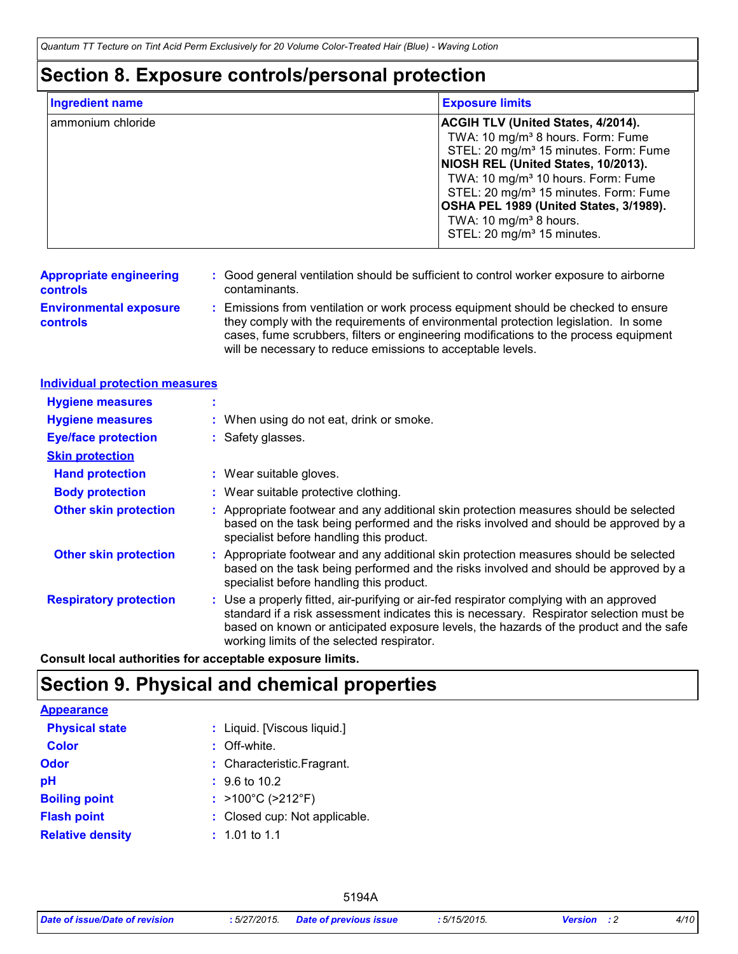### **Section 8. Exposure controls/personal protection**

| <b>Ingredient name</b> | <b>Exposure limits</b>                                                                                                                                                                                                                                                                                                                                                                                                  |
|------------------------|-------------------------------------------------------------------------------------------------------------------------------------------------------------------------------------------------------------------------------------------------------------------------------------------------------------------------------------------------------------------------------------------------------------------------|
| ammonium chloride      | <b>ACGIH TLV (United States, 4/2014).</b><br>TWA: 10 mg/m <sup>3</sup> 8 hours. Form: Fume<br>STEL: 20 mg/m <sup>3</sup> 15 minutes. Form: Fume<br>NIOSH REL (United States, 10/2013).<br>TWA: 10 mg/m <sup>3</sup> 10 hours. Form: Fume<br>STEL: 20 mg/m <sup>3</sup> 15 minutes. Form: Fume<br>OSHA PEL 1989 (United States, 3/1989).<br>TWA: 10 mg/m <sup>3</sup> 8 hours.<br>STEL: 20 mg/m <sup>3</sup> 15 minutes. |

- **Appropriate engineering controls :** Good general ventilation should be sufficient to control worker exposure to airborne contaminants.
- **Environmental exposure controls**
- **:** Emissions from ventilation or work process equipment should be checked to ensure they comply with the requirements of environmental protection legislation. In some cases, fume scrubbers, filters or engineering modifications to the process equipment will be necessary to reduce emissions to acceptable levels.

| <b>Individual protection measures</b> |                                                                                                                                                                                                                                                                                                                            |
|---------------------------------------|----------------------------------------------------------------------------------------------------------------------------------------------------------------------------------------------------------------------------------------------------------------------------------------------------------------------------|
| <b>Hygiene measures</b>               |                                                                                                                                                                                                                                                                                                                            |
| <b>Hygiene measures</b>               | : When using do not eat, drink or smoke.                                                                                                                                                                                                                                                                                   |
| <b>Eye/face protection</b>            | : Safety glasses.                                                                                                                                                                                                                                                                                                          |
| <b>Skin protection</b>                |                                                                                                                                                                                                                                                                                                                            |
| <b>Hand protection</b>                | : Wear suitable gloves.                                                                                                                                                                                                                                                                                                    |
| <b>Body protection</b>                | : Wear suitable protective clothing.                                                                                                                                                                                                                                                                                       |
| <b>Other skin protection</b>          | : Appropriate footwear and any additional skin protection measures should be selected<br>based on the task being performed and the risks involved and should be approved by a<br>specialist before handling this product.                                                                                                  |
| <b>Other skin protection</b>          | : Appropriate footwear and any additional skin protection measures should be selected<br>based on the task being performed and the risks involved and should be approved by a<br>specialist before handling this product.                                                                                                  |
| <b>Respiratory protection</b>         | : Use a properly fitted, air-purifying or air-fed respirator complying with an approved<br>standard if a risk assessment indicates this is necessary. Respirator selection must be<br>based on known or anticipated exposure levels, the hazards of the product and the safe<br>working limits of the selected respirator. |

**Consult local authorities for acceptable exposure limits.**

# **Section 9. Physical and chemical properties**

| <b>Appearance</b>       |                                        |
|-------------------------|----------------------------------------|
| <b>Physical state</b>   | : Liquid. [Viscous liquid.]            |
| <b>Color</b>            | $:$ Off-white.                         |
| Odor                    | : Characteristic. Fragrant.            |
| рH                      | $\div$ 9.6 to 10.2                     |
| <b>Boiling point</b>    | : $>100^{\circ}$ C ( $>212^{\circ}$ F) |
| <b>Flash point</b>      | : Closed cup: Not applicable.          |
| <b>Relative density</b> | $: 1.01$ to 1.1                        |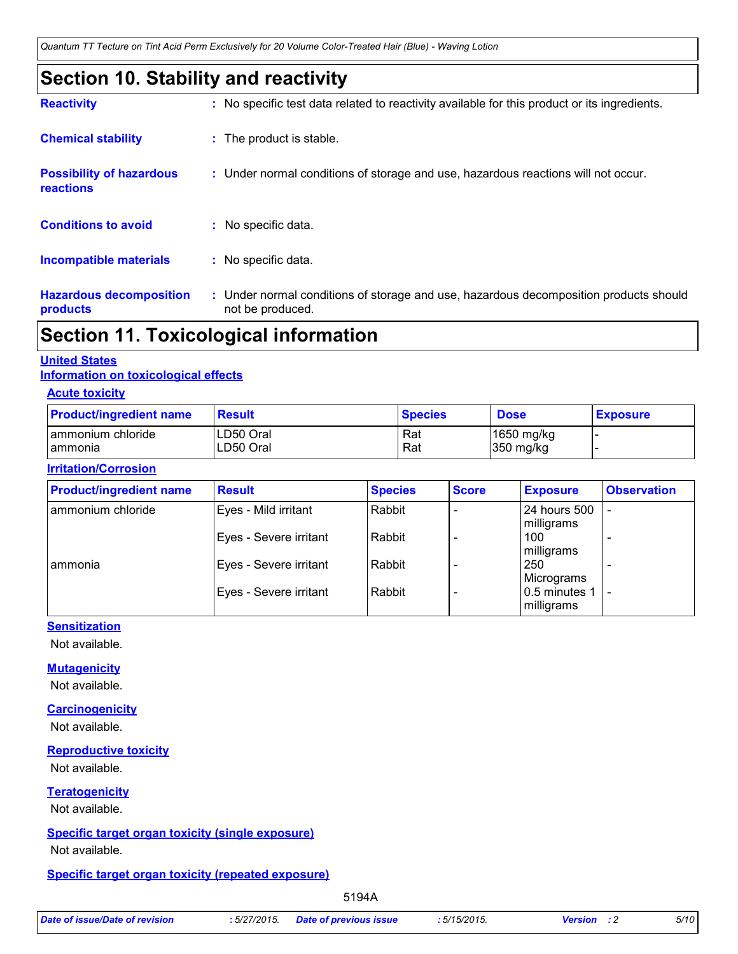*Quantum TT Tecture on Tint Acid Perm Exclusively for 20 Volume Color-Treated Hair (Blue) - Waving Lotion*

# **Section 10. Stability and reactivity**

| $\blacksquare$                               |                                                                                                           |
|----------------------------------------------|-----------------------------------------------------------------------------------------------------------|
| <b>Hazardous decomposition</b><br>products   | : Under normal conditions of storage and use, hazardous decomposition products should<br>not be produced. |
| <b>Incompatible materials</b>                | : No specific data.                                                                                       |
| <b>Conditions to avoid</b>                   | : No specific data.                                                                                       |
| <b>Possibility of hazardous</b><br>reactions | : Under normal conditions of storage and use, hazardous reactions will not occur.                         |
| <b>Chemical stability</b>                    | : The product is stable.                                                                                  |
| <b>Reactivity</b>                            | : No specific test data related to reactivity available for this product or its ingredients.              |

# **Section 11. Toxicological information**

### **United States**

### **Information on toxicological effects**

### **Acute toxicity**

| <b>Product/ingredient name</b> | <b>Result</b> | <b>Species</b> | <b>Dose</b> | <b>Exposure</b> |
|--------------------------------|---------------|----------------|-------------|-----------------|
| ammonium chloride              | LD50 Oral     | Rat            | 1650 mg/kg  |                 |
| l ammonia                      | LD50 Oral     | Rat            | 350 mg/kg   |                 |

#### **Irritation/Corrosion**

| <b>Product/ingredient name</b> | <b>Result</b>          | <b>Species</b> | <b>Score</b> | <b>Exposure</b>             | <b>Observation</b> |
|--------------------------------|------------------------|----------------|--------------|-----------------------------|--------------------|
| ammonium chloride              | Eyes - Mild irritant   | Rabbit         |              | 24 hours 500<br>milligrams  |                    |
|                                | Eyes - Severe irritant | Rabbit         |              | 100<br>milligrams           |                    |
| I ammonia                      | Eyes - Severe irritant | Rabbit         |              | 250<br>Micrograms           |                    |
|                                | Eyes - Severe irritant | Rabbit         |              | 0.5 minutes 1<br>milligrams | $\qquad \qquad$    |

### **Sensitization**

Not available.

### **Mutagenicity**

Not available.

#### **Carcinogenicity**

Not available.

### **Reproductive toxicity**

Not available.

### **Teratogenicity**

Not available.

### **Specific target organ toxicity (single exposure)**

Not available.

### **Specific target organ toxicity (repeated exposure)**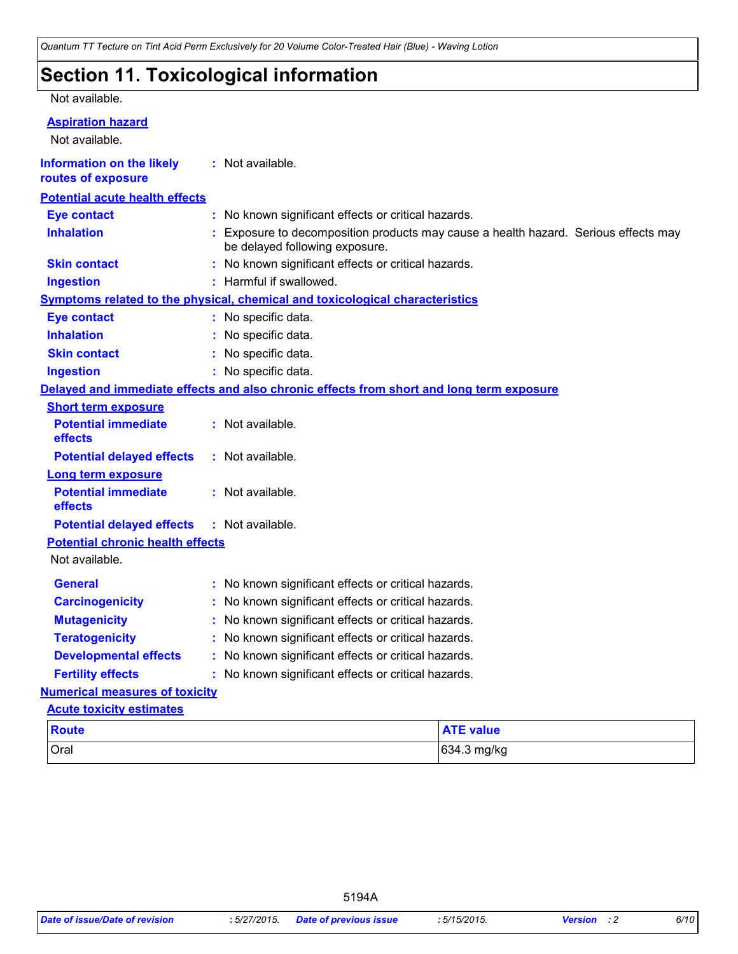# **Section 11. Toxicological information**

#### Not available.

### **Aspiration hazard**

Not available.

**Information on the likely :** Not available.

| routes of exposure                      |                                                   |                                                                                                                     |                  |  |  |  |  |
|-----------------------------------------|---------------------------------------------------|---------------------------------------------------------------------------------------------------------------------|------------------|--|--|--|--|
| <b>Potential acute health effects</b>   |                                                   |                                                                                                                     |                  |  |  |  |  |
| <b>Eye contact</b>                      |                                                   | : No known significant effects or critical hazards.                                                                 |                  |  |  |  |  |
| <b>Inhalation</b>                       |                                                   | Exposure to decomposition products may cause a health hazard. Serious effects may<br>be delayed following exposure. |                  |  |  |  |  |
| <b>Skin contact</b>                     |                                                   | : No known significant effects or critical hazards.                                                                 |                  |  |  |  |  |
| <b>Ingestion</b>                        |                                                   | : Harmful if swallowed.                                                                                             |                  |  |  |  |  |
|                                         |                                                   | <b>Symptoms related to the physical, chemical and toxicological characteristics</b>                                 |                  |  |  |  |  |
| <b>Eye contact</b>                      |                                                   | : No specific data.                                                                                                 |                  |  |  |  |  |
| <b>Inhalation</b>                       |                                                   | No specific data.                                                                                                   |                  |  |  |  |  |
| <b>Skin contact</b>                     |                                                   | No specific data.                                                                                                   |                  |  |  |  |  |
| <b>Ingestion</b>                        |                                                   | : No specific data.                                                                                                 |                  |  |  |  |  |
|                                         |                                                   | Delayed and immediate effects and also chronic effects from short and long term exposure                            |                  |  |  |  |  |
| <b>Short term exposure</b>              |                                                   |                                                                                                                     |                  |  |  |  |  |
| <b>Potential immediate</b><br>effects   |                                                   | : Not available.                                                                                                    |                  |  |  |  |  |
| <b>Potential delayed effects</b>        |                                                   | : Not available.                                                                                                    |                  |  |  |  |  |
| Long term exposure                      |                                                   |                                                                                                                     |                  |  |  |  |  |
| <b>Potential immediate</b><br>effects   |                                                   | : Not available.                                                                                                    |                  |  |  |  |  |
| <b>Potential delayed effects</b>        |                                                   | : Not available.                                                                                                    |                  |  |  |  |  |
| <b>Potential chronic health effects</b> |                                                   |                                                                                                                     |                  |  |  |  |  |
| Not available.                          |                                                   |                                                                                                                     |                  |  |  |  |  |
| <b>General</b>                          |                                                   | No known significant effects or critical hazards.                                                                   |                  |  |  |  |  |
| <b>Carcinogenicity</b>                  |                                                   | No known significant effects or critical hazards.                                                                   |                  |  |  |  |  |
| <b>Mutagenicity</b>                     |                                                   | No known significant effects or critical hazards.                                                                   |                  |  |  |  |  |
| <b>Teratogenicity</b>                   |                                                   | No known significant effects or critical hazards.                                                                   |                  |  |  |  |  |
| <b>Developmental effects</b>            | No known significant effects or critical hazards. |                                                                                                                     |                  |  |  |  |  |
| <b>Fertility effects</b>                |                                                   | No known significant effects or critical hazards.                                                                   |                  |  |  |  |  |
| <b>Numerical measures of toxicity</b>   |                                                   |                                                                                                                     |                  |  |  |  |  |
| <b>Acute toxicity estimates</b>         |                                                   |                                                                                                                     |                  |  |  |  |  |
| <b>Route</b>                            |                                                   |                                                                                                                     | <b>ATE value</b> |  |  |  |  |
| Oral                                    |                                                   |                                                                                                                     | 634.3 mg/kg      |  |  |  |  |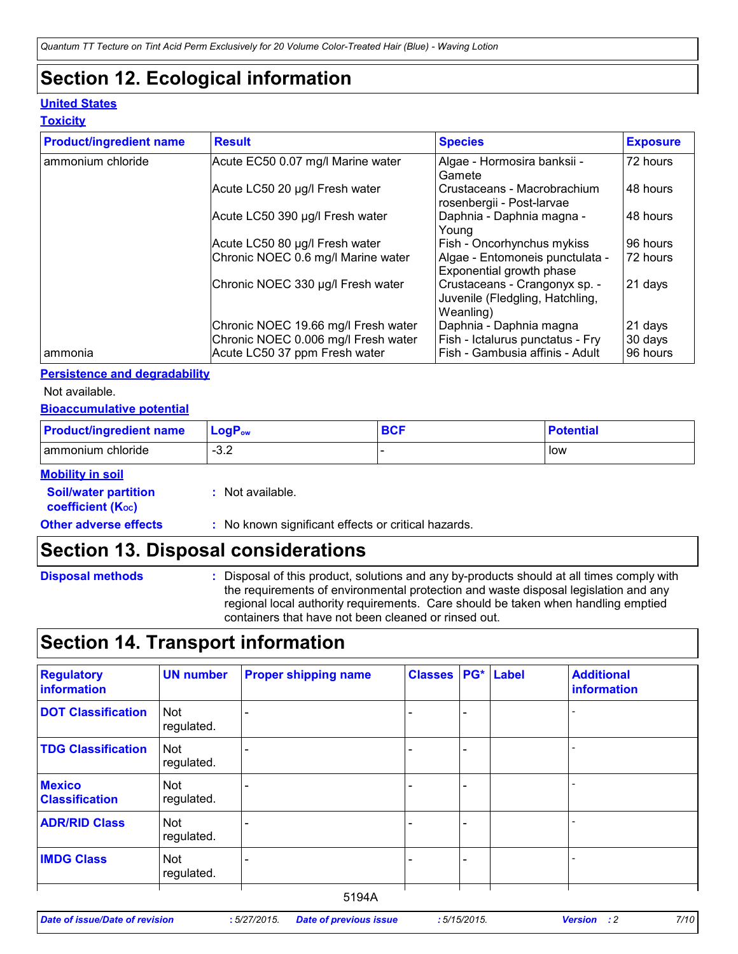# **Section 12. Ecological information**

### **United States**

### **Toxicity**

| <b>Product/ingredient name</b> | <b>Result</b>                                                                                               | <b>Species</b>                                                                                 | <b>Exposure</b>                |
|--------------------------------|-------------------------------------------------------------------------------------------------------------|------------------------------------------------------------------------------------------------|--------------------------------|
| ammonium chloride              | Acute EC50 0.07 mg/l Marine water                                                                           | Algae - Hormosira banksii -<br>Gamete                                                          | 72 hours                       |
|                                | Acute LC50 20 µg/l Fresh water                                                                              | Crustaceans - Macrobrachium<br>rosenbergii - Post-larvae                                       | 48 hours                       |
|                                | Acute LC50 390 µg/l Fresh water                                                                             | Daphnia - Daphnia magna -<br>Young                                                             | 48 hours                       |
|                                | Acute LC50 80 µg/l Fresh water                                                                              | Fish - Oncorhynchus mykiss                                                                     | 96 hours                       |
|                                | Chronic NOEC 0.6 mg/l Marine water                                                                          | Algae - Entomoneis punctulata -<br>Exponential growth phase                                    | 72 hours                       |
|                                | Chronic NOEC 330 µg/l Fresh water                                                                           | Crustaceans - Crangonyx sp. -<br>Juvenile (Fledgling, Hatchling,<br>Weanling)                  | 21 days                        |
| l ammonia                      | Chronic NOEC 19.66 mg/l Fresh water<br>Chronic NOEC 0.006 mg/l Fresh water<br>Acute LC50 37 ppm Fresh water | Daphnia - Daphnia magna<br>Fish - Ictalurus punctatus - Fry<br>Fish - Gambusia affinis - Adult | 21 days<br>30 days<br>96 hours |

#### **Persistence and degradability**

Not available.

### **Bioaccumulative potential**

| <b>Product/ingredient name</b> | $ $ LogP <sub>ow</sub> | <b>BCF</b> | <b>Potential</b> |
|--------------------------------|------------------------|------------|------------------|
| l ammonium chloride            | $\sim$ $\sim$<br>ـ ∠.⊂ |            | low              |

#### **Mobility in soil**

| <b>Soil/water partition</b><br>coefficient (K <sub>oc</sub> ) | : Not available.                                    |
|---------------------------------------------------------------|-----------------------------------------------------|
| <b>Other adverse effects</b>                                  | : No known significant effects or critical hazards. |

### **Section 13. Disposal considerations**

- **Disposal methods :**
- Disposal of this product, solutions and any by-products should at all times comply with the requirements of environmental protection and waste disposal legislation and any regional local authority requirements. Care should be taken when handling emptied containers that have not been cleaned or rinsed out.

# **Section 14. Transport information**

| <b>Regulatory</b><br>information       | <b>UN number</b>         | <b>Proper shipping name</b> | <b>Classes</b> |   | PG* Label | <b>Additional</b><br>information |
|----------------------------------------|--------------------------|-----------------------------|----------------|---|-----------|----------------------------------|
| <b>DOT Classification</b>              | <b>Not</b><br>regulated. |                             |                |   |           |                                  |
| <b>TDG Classification</b>              | Not<br>regulated.        |                             |                |   |           |                                  |
| <b>Mexico</b><br><b>Classification</b> | Not<br>regulated.        |                             |                |   |           |                                  |
| <b>ADR/RID Class</b>                   | <b>Not</b><br>regulated. |                             |                | - |           |                                  |
| <b>IMDG Class</b>                      | <b>Not</b><br>regulated. |                             |                | ۳ |           |                                  |
|                                        |                          | 5194A                       |                |   |           |                                  |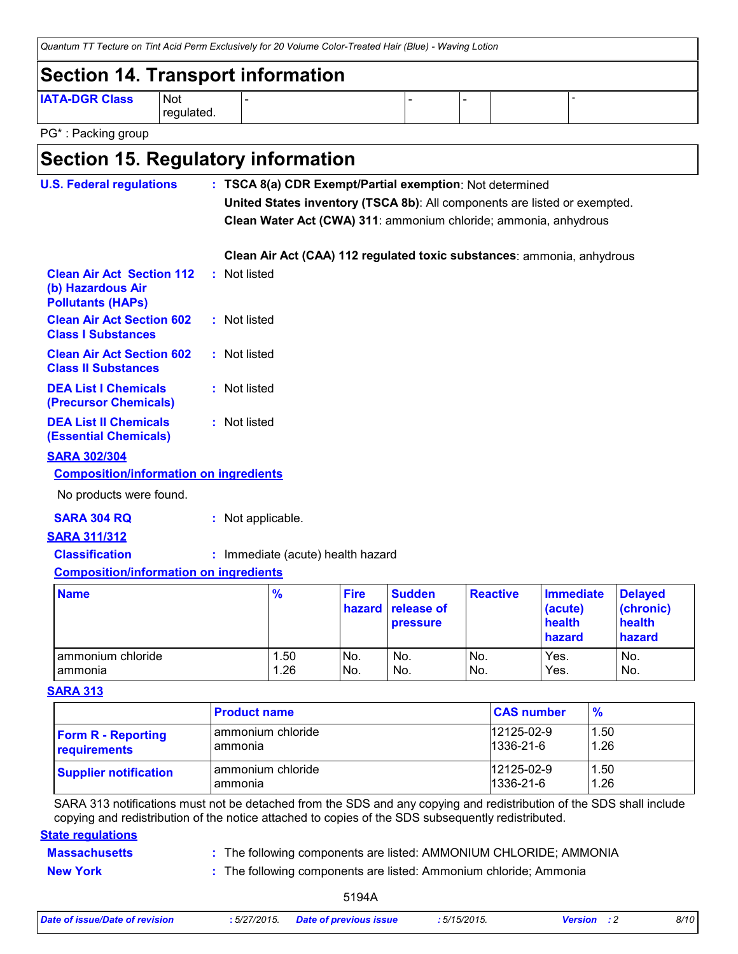| Quantum TT Tecture on Tint Acid Perm Exclusively for 20 Volume Color-Treated Hair (Blue) - Waving Lotion |                     |  |  |  |  |  |
|----------------------------------------------------------------------------------------------------------|---------------------|--|--|--|--|--|
| Section 14. Transport information                                                                        |                     |  |  |  |  |  |
| <b>IATA-DGR Class</b>                                                                                    | l Not<br>regulated. |  |  |  |  |  |
| PG <sup>*</sup> : Packing group                                                                          |                     |  |  |  |  |  |

### **Section 15. Regulatory information**

| <b>U.S. Federal regulations</b>                                                   | : TSCA 8(a) CDR Exempt/Partial exemption: Not determined                  |
|-----------------------------------------------------------------------------------|---------------------------------------------------------------------------|
|                                                                                   | United States inventory (TSCA 8b): All components are listed or exempted. |
|                                                                                   | Clean Water Act (CWA) 311: ammonium chloride; ammonia, anhydrous          |
|                                                                                   | Clean Air Act (CAA) 112 regulated toxic substances: ammonia, anhydrous    |
| <b>Clean Air Act Section 112</b><br>(b) Hazardous Air<br><b>Pollutants (HAPS)</b> | : Not listed                                                              |
| <b>Clean Air Act Section 602</b><br><b>Class I Substances</b>                     | : Not listed                                                              |
| <b>Clean Air Act Section 602</b><br><b>Class II Substances</b>                    | : Not listed                                                              |
| <b>DEA List I Chemicals</b><br><b>(Precursor Chemicals)</b>                       | : Not listed                                                              |
| <b>DEA List II Chemicals</b><br><b>(Essential Chemicals)</b>                      | : Not listed                                                              |
| <b>SARA 302/304</b>                                                               |                                                                           |
| <b>Composition/information on ingredients</b>                                     |                                                                           |
| No products were found.                                                           |                                                                           |

### **SARA 304 RQ :** Not applicable.

#### **SARA 311/312**

**Classification :** Immediate (acute) health hazard

### **Composition/information on ingredients**

| <b>Name</b>       | $\frac{9}{6}$ | <b>Fire</b> | <b>Sudden</b><br>hazard release of<br><b>pressure</b> | <b>Reactive</b> | <b>Immediate</b><br>(acute)<br>health<br>hazard | <b>Delayed</b><br>(chronic)<br>health<br>hazard |
|-------------------|---------------|-------------|-------------------------------------------------------|-----------------|-------------------------------------------------|-------------------------------------------------|
| ammonium chloride | . 50          | No.         | No.                                                   | No.             | Yes.                                            | No.                                             |
| I ammonia         | 1.26          | No.         | No.                                                   | No.             | Yes.                                            | No.                                             |

#### **SARA 313**

|                              | <b>Product name</b> | <b>CAS number</b> | $\frac{9}{6}$ |
|------------------------------|---------------------|-------------------|---------------|
| <b>Form R - Reporting</b>    | ammonium chloride   | 12125-02-9        | 1.50          |
| requirements                 | ammonia             | 1336-21-6         | 1.26          |
| <b>Supplier notification</b> | ammonium chloride   | 12125-02-9        | 1.50          |
|                              | ammonia             | $1336 - 21 - 6$   | 1.26          |

SARA 313 notifications must not be detached from the SDS and any copying and redistribution of the SDS shall include copying and redistribution of the notice attached to copies of the SDS subsequently redistributed.

### **State regulations**

### **Massachusetts**

The following components are listed: AMMONIUM CHLORIDE; AMMONIA **:**

**New York :** The following components are listed: Ammonium chloride; Ammonia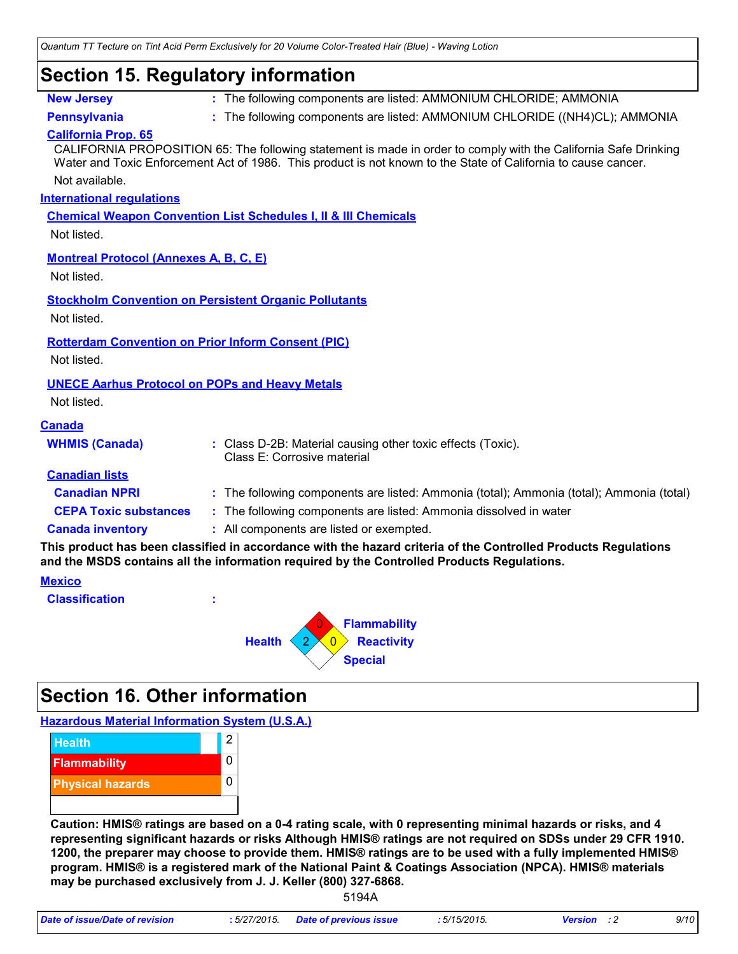*Quantum TT Tecture on Tint Acid Perm Exclusively for 20 Volume Color-Treated Hair (Blue) - Waving Lotion*

### **Section 15. Regulatory information**

| <b>New Jersev</b> |
|-------------------|
|-------------------|

**:** The following components are listed: AMMONIUM CHLORIDE; AMMONIA

**Pennsylvania :** The following components are listed: AMMONIUM CHLORIDE ((NH4)CL); AMMONIA

### **California Prop. 65**

Not available. CALIFORNIA PROPOSITION 65: The following statement is made in order to comply with the California Safe Drinking Water and Toxic Enforcement Act of 1986. This product is not known to the State of California to cause cancer.

### **International regulations**

**Chemical Weapon Convention List Schedules I, II & III Chemicals**

Not listed.

### **Montreal Protocol (Annexes A, B, C, E)**

Not listed.

**Stockholm Convention on Persistent Organic Pollutants**

Not listed.

### **Rotterdam Convention on Prior Inform Consent (PIC)**

Not listed.

### **UNECE Aarhus Protocol on POPs and Heavy Metals**

Not listed.

| <b>Canada</b>                                                                                                                                                                                                |                                                                                            |  |
|--------------------------------------------------------------------------------------------------------------------------------------------------------------------------------------------------------------|--------------------------------------------------------------------------------------------|--|
| <b>WHMIS (Canada)</b>                                                                                                                                                                                        | : Class D-2B: Material causing other toxic effects (Toxic).<br>Class E: Corrosive material |  |
| <b>Canadian lists</b>                                                                                                                                                                                        |                                                                                            |  |
| <b>Canadian NPRI</b>                                                                                                                                                                                         | : The following components are listed: Ammonia (total); Ammonia (total); Ammonia (total)   |  |
| <b>CEPA Toxic substances</b>                                                                                                                                                                                 | : The following components are listed: Ammonia dissolved in water                          |  |
| <b>Canada inventory</b>                                                                                                                                                                                      | : All components are listed or exempted.                                                   |  |
| This product has been classified in accordance with the hazard criteria of the Controlled Products Regulations<br>and the MSDS contains all the information required by the Controlled Products Regulations. |                                                                                            |  |

#### **Mexico**

**Classification :**



# **Section 16. Other information**

**Hazardous Material Information System (U.S.A.)**



**Caution: HMIS® ratings are based on a 0-4 rating scale, with 0 representing minimal hazards or risks, and 4 representing significant hazards or risks Although HMIS® ratings are not required on SDSs under 29 CFR 1910. 1200, the preparer may choose to provide them. HMIS® ratings are to be used with a fully implemented HMIS® program. HMIS® is a registered mark of the National Paint & Coatings Association (NPCA). HMIS® materials may be purchased exclusively from J. J. Keller (800) 327-6868.**